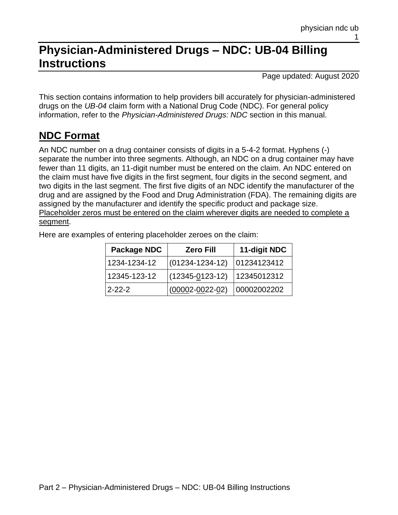# **Physician-Administered Drugs – NDC: UB-04 Billing Instructions**

Page updated: August 2020

This section contains information to help providers bill accurately for physician-administered drugs on the *UB-04* claim form with a National Drug Code (NDC). For general policy information, refer to the *Physician-Administered Drugs: NDC* section in this manual.

## **NDC Format**

An NDC number on a drug container consists of digits in a 5-4-2 format. Hyphens (-) separate the number into three segments. Although, an NDC on a drug container may have fewer than 11 digits, an 11-digit number must be entered on the claim. An NDC entered on the claim must have five digits in the first segment, four digits in the second segment, and two digits in the last segment. The first five digits of an NDC identify the manufacturer of the drug and are assigned by the Food and Drug Administration (FDA). The remaining digits are assigned by the manufacturer and identify the specific product and package size. Placeholder zeros must be entered on the claim wherever digits are needed to complete a segment.

Here are examples of entering placeholder zeroes on the claim:

| Package NDC  | <b>Zero Fill</b>      | 11-digit NDC |
|--------------|-----------------------|--------------|
| 1234-1234-12 | $(01234 - 1234 - 12)$ | 01234123412  |
| 12345-123-12 | $(12345 - 0123 - 12)$ | 12345012312  |
| $2 - 22 - 2$ | $(00002 - 0022 - 02)$ | 00002002202  |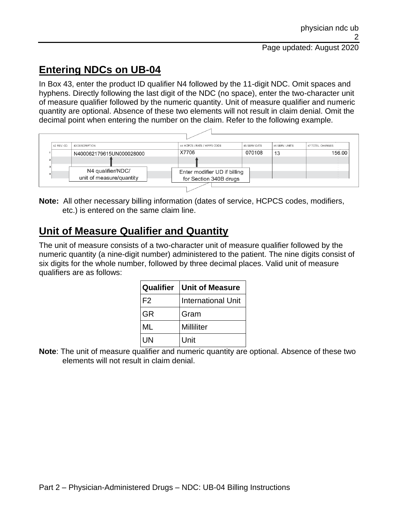## **Entering NDCs on UB-04**

In Box 43, enter the product ID qualifier N4 followed by the 11-digit NDC. Omit spaces and hyphens. Directly following the last digit of the NDC (no space), enter the two-character unit of measure qualifier followed by the numeric quantity. Unit of measure qualifier and numeric quantity are optional. Absence of these two elements will not result in claim denial. Omit the decimal point when entering the number on the claim. Refer to the following example.



**Note:** All other necessary billing information (dates of service, HCPCS codes, modifiers, etc.) is entered on the same claim line.

## **Unit of Measure Qualifier and Quantity**

The unit of measure consists of a two-character unit of measure qualifier followed by the numeric quantity (a nine-digit number) administered to the patient. The nine digits consist of six digits for the whole number, followed by three decimal places. Valid unit of measure qualifiers are as follows:

|           | <b>Qualifier   Unit of Measure</b> |  |
|-----------|------------------------------------|--|
| IF2       | <b>International Unit</b>          |  |
| <b>GR</b> | Gram                               |  |
| ML        | Milliliter                         |  |
| UN        | Unit                               |  |

**Note**: The unit of measure qualifier and numeric quantity are optional. Absence of these two elements will not result in claim denial.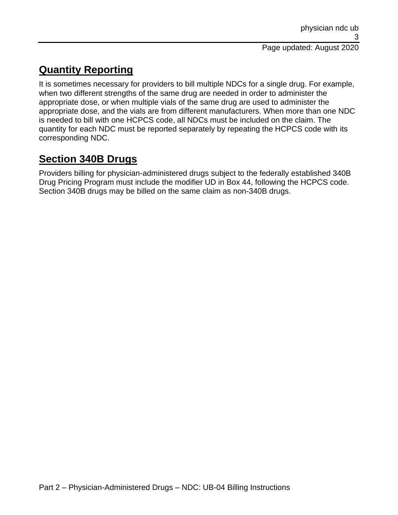## **Quantity Reporting**

It is sometimes necessary for providers to bill multiple NDCs for a single drug. For example, when two different strengths of the same drug are needed in order to administer the appropriate dose, or when multiple vials of the same drug are used to administer the appropriate dose, and the vials are from different manufacturers. When more than one NDC is needed to bill with one HCPCS code, all NDCs must be included on the claim. The quantity for each NDC must be reported separately by repeating the HCPCS code with its corresponding NDC.

## **Section 340B Drugs**

Providers billing for physician-administered drugs subject to the federally established 340B Drug Pricing Program must include the modifier UD in Box 44, following the HCPCS code. Section 340B drugs may be billed on the same claim as non-340B drugs.